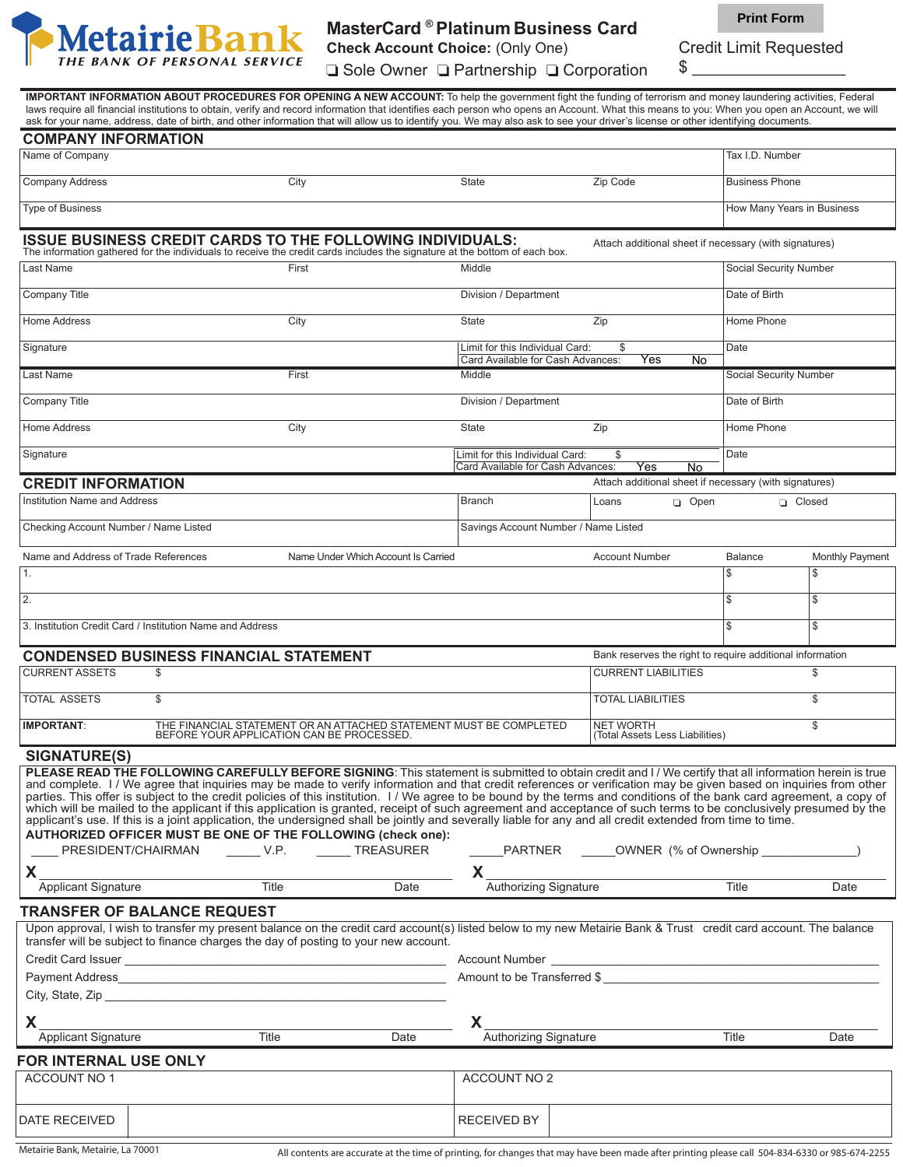

## **MasterCard ® Platinum Business Card**

**Check Account Choice:** (Only One)

**Print Form**

Credit Limit Requested

 $\frac{1}{2}$   $\frac{1}{2}$   $\frac{1}{2}$   $\frac{1}{2}$   $\frac{1}{2}$   $\frac{1}{2}$   $\frac{1}{2}$   $\frac{1}{2}$   $\frac{1}{2}$   $\frac{1}{2}$   $\frac{1}{2}$   $\frac{1}{2}$   $\frac{1}{2}$   $\frac{1}{2}$   $\frac{1}{2}$   $\frac{1}{2}$   $\frac{1}{2}$   $\frac{1}{2}$   $\frac{1}{2}$   $\frac{1}{2}$   $\frac{1}{2}$   $\frac{1}{2}$  **□ Sole Owner □ Partnership □ Corporation** 

 **IMPORTANT INFORMATION ABOUT PROCEDURES FOR OPENING A NEW ACCOUNT:** To help the government fight the funding of terrorism and money laundering activities, Federal laws require all financial institutions to obtain, verify and record information that identifies each person who opens an Account. What this means to you: When you open an Account, we will ask for your name, address, date of birth, and other information that will allow us to identify you. We may also ask to see your driver's license or other identifying documents.

| <b>COMPANY INFORMATION</b>                                                                                                                                                                                                                                                                                                                                                                                                                                                                                                                                                                                                                                                                                                                                                                                                                                                                                                                                                                                                  |                                                           |                                                                                                              |                                                                      |       |                                                           |                            |                 |  |
|-----------------------------------------------------------------------------------------------------------------------------------------------------------------------------------------------------------------------------------------------------------------------------------------------------------------------------------------------------------------------------------------------------------------------------------------------------------------------------------------------------------------------------------------------------------------------------------------------------------------------------------------------------------------------------------------------------------------------------------------------------------------------------------------------------------------------------------------------------------------------------------------------------------------------------------------------------------------------------------------------------------------------------|-----------------------------------------------------------|--------------------------------------------------------------------------------------------------------------|----------------------------------------------------------------------|-------|-----------------------------------------------------------|----------------------------|-----------------|--|
| Name of Company                                                                                                                                                                                                                                                                                                                                                                                                                                                                                                                                                                                                                                                                                                                                                                                                                                                                                                                                                                                                             |                                                           |                                                                                                              |                                                                      |       |                                                           | Tax I.D. Number            |                 |  |
| <b>Company Address</b>                                                                                                                                                                                                                                                                                                                                                                                                                                                                                                                                                                                                                                                                                                                                                                                                                                                                                                                                                                                                      |                                                           | City                                                                                                         | <b>State</b>                                                         |       | Zip Code                                                  | <b>Business Phone</b>      |                 |  |
| <b>Type of Business</b>                                                                                                                                                                                                                                                                                                                                                                                                                                                                                                                                                                                                                                                                                                                                                                                                                                                                                                                                                                                                     |                                                           |                                                                                                              |                                                                      |       |                                                           | How Many Years in Business |                 |  |
| <b>ISSUE BUSINESS CREDIT CARDS TO THE FOLLOWING INDIVIDUALS:</b><br>Attach additional sheet if necessary (with signatures)<br>The information gathered for the individuals to receive the credit cards includes the signature at the bottom of each box.                                                                                                                                                                                                                                                                                                                                                                                                                                                                                                                                                                                                                                                                                                                                                                    |                                                           |                                                                                                              |                                                                      |       |                                                           |                            |                 |  |
| Last Name                                                                                                                                                                                                                                                                                                                                                                                                                                                                                                                                                                                                                                                                                                                                                                                                                                                                                                                                                                                                                   |                                                           | First                                                                                                        | Middle                                                               |       |                                                           | Social Security Number     |                 |  |
| Company Title                                                                                                                                                                                                                                                                                                                                                                                                                                                                                                                                                                                                                                                                                                                                                                                                                                                                                                                                                                                                               |                                                           |                                                                                                              | Division / Department                                                |       |                                                           | Date of Birth              |                 |  |
| <b>Home Address</b>                                                                                                                                                                                                                                                                                                                                                                                                                                                                                                                                                                                                                                                                                                                                                                                                                                                                                                                                                                                                         |                                                           | City                                                                                                         | <b>State</b>                                                         | Zip   |                                                           | Home Phone                 |                 |  |
| Signature                                                                                                                                                                                                                                                                                                                                                                                                                                                                                                                                                                                                                                                                                                                                                                                                                                                                                                                                                                                                                   |                                                           |                                                                                                              | Limit for this Individual Card:<br>Card Available for Cash Advances: |       | \$<br>Yes<br>No                                           | Date                       |                 |  |
| Last Name                                                                                                                                                                                                                                                                                                                                                                                                                                                                                                                                                                                                                                                                                                                                                                                                                                                                                                                                                                                                                   |                                                           | First                                                                                                        | Middle                                                               |       |                                                           | Social Security Number     |                 |  |
| Company Title                                                                                                                                                                                                                                                                                                                                                                                                                                                                                                                                                                                                                                                                                                                                                                                                                                                                                                                                                                                                               |                                                           |                                                                                                              | Division / Department                                                |       |                                                           | Date of Birth              |                 |  |
| <b>Home Address</b>                                                                                                                                                                                                                                                                                                                                                                                                                                                                                                                                                                                                                                                                                                                                                                                                                                                                                                                                                                                                         |                                                           | City                                                                                                         | <b>State</b>                                                         | Zip   |                                                           | Home Phone                 |                 |  |
| Signature                                                                                                                                                                                                                                                                                                                                                                                                                                                                                                                                                                                                                                                                                                                                                                                                                                                                                                                                                                                                                   |                                                           |                                                                                                              | Limit for this Individual Card:                                      |       | \$                                                        | Date                       |                 |  |
|                                                                                                                                                                                                                                                                                                                                                                                                                                                                                                                                                                                                                                                                                                                                                                                                                                                                                                                                                                                                                             |                                                           |                                                                                                              | Card Available for Cash Advances:                                    |       | Yes<br>No                                                 |                            |                 |  |
| <b>CREDIT INFORMATION</b>                                                                                                                                                                                                                                                                                                                                                                                                                                                                                                                                                                                                                                                                                                                                                                                                                                                                                                                                                                                                   |                                                           |                                                                                                              |                                                                      |       | Attach additional sheet if necessary (with signatures)    |                            |                 |  |
| Institution Name and Address                                                                                                                                                                                                                                                                                                                                                                                                                                                                                                                                                                                                                                                                                                                                                                                                                                                                                                                                                                                                |                                                           |                                                                                                              | <b>Branch</b>                                                        | Loans | open                                                      | □ Closed                   |                 |  |
| Checking Account Number / Name Listed                                                                                                                                                                                                                                                                                                                                                                                                                                                                                                                                                                                                                                                                                                                                                                                                                                                                                                                                                                                       |                                                           |                                                                                                              | Savings Account Number / Name Listed                                 |       |                                                           |                            |                 |  |
| Name and Address of Trade References                                                                                                                                                                                                                                                                                                                                                                                                                                                                                                                                                                                                                                                                                                                                                                                                                                                                                                                                                                                        |                                                           | Name Under Which Account Is Carried                                                                          |                                                                      |       | <b>Account Number</b>                                     | Balance                    | Monthly Payment |  |
| 1.                                                                                                                                                                                                                                                                                                                                                                                                                                                                                                                                                                                                                                                                                                                                                                                                                                                                                                                                                                                                                          |                                                           |                                                                                                              |                                                                      |       |                                                           | \$                         | \$              |  |
| 2.                                                                                                                                                                                                                                                                                                                                                                                                                                                                                                                                                                                                                                                                                                                                                                                                                                                                                                                                                                                                                          |                                                           |                                                                                                              |                                                                      |       |                                                           | \$                         | \$              |  |
|                                                                                                                                                                                                                                                                                                                                                                                                                                                                                                                                                                                                                                                                                                                                                                                                                                                                                                                                                                                                                             | 3. Institution Credit Card / Institution Name and Address |                                                                                                              |                                                                      |       |                                                           | \$.                        | \$              |  |
|                                                                                                                                                                                                                                                                                                                                                                                                                                                                                                                                                                                                                                                                                                                                                                                                                                                                                                                                                                                                                             | <b>CONDENSED BUSINESS FINANCIAL STATEMENT</b>             |                                                                                                              |                                                                      |       | Bank reserves the right to require additional information |                            |                 |  |
| <b>CURRENT ASSETS</b>                                                                                                                                                                                                                                                                                                                                                                                                                                                                                                                                                                                                                                                                                                                                                                                                                                                                                                                                                                                                       | \$                                                        |                                                                                                              |                                                                      |       | <b>CURRENT LIABILITIES</b>                                |                            | \$              |  |
| <b>TOTAL ASSETS</b>                                                                                                                                                                                                                                                                                                                                                                                                                                                                                                                                                                                                                                                                                                                                                                                                                                                                                                                                                                                                         | \$                                                        |                                                                                                              |                                                                      |       | <b>TOTAL LIABILITIES</b>                                  |                            | \$              |  |
| <b>IMPORTANT:</b>                                                                                                                                                                                                                                                                                                                                                                                                                                                                                                                                                                                                                                                                                                                                                                                                                                                                                                                                                                                                           |                                                           | THE FINANCIAL STATEMENT OR AN ATTACHED STATEMENT MUST BE COMPLETED BEFORE YOUR APPLICATION CAN BE PROCESSED. |                                                                      |       | <b>NET WORTH</b><br>(Total Assets Less Liabilities)       |                            | \$              |  |
| <b>SIGNATURE(S)</b>                                                                                                                                                                                                                                                                                                                                                                                                                                                                                                                                                                                                                                                                                                                                                                                                                                                                                                                                                                                                         |                                                           |                                                                                                              |                                                                      |       |                                                           |                            |                 |  |
| PLEASE READ THE FOLLOWING CAREFULLY BEFORE SIGNING: This statement is submitted to obtain credit and I / We certify that all information herein is true<br>and complete. I / We agree that inquiries may be made to verify information and that credit references or verification may be given based on inquiries from other<br>parties. This offer is subject to the credit policies of this institution. I / We agree to be bound by the terms and conditions of the bank card agreement, a copy of<br>which will be mailed to the applicant if this application is granted, receipt of such agreement and acceptance of such terms to be conclusively presumed by the<br>applicant's use. If this is a joint application, the undersigned shall be jointly and severally liable for any and all credit extended from time to time.<br>AUTHORIZED OFFICER MUST BE ONE OF THE FOLLOWING (check one):<br>PRESIDENT/CHAIRMAN _____V.P. _____TREASURER<br>______PARTNER ______OWNER (% of Ownership ______________<br>X<br>X. |                                                           |                                                                                                              |                                                                      |       |                                                           |                            |                 |  |
| <b>Applicant Signature</b>                                                                                                                                                                                                                                                                                                                                                                                                                                                                                                                                                                                                                                                                                                                                                                                                                                                                                                                                                                                                  |                                                           | Title<br>Date                                                                                                | Authorizing Signature                                                |       |                                                           | Title                      | Date            |  |
| <b>TRANSFER OF BALANCE REQUEST</b>                                                                                                                                                                                                                                                                                                                                                                                                                                                                                                                                                                                                                                                                                                                                                                                                                                                                                                                                                                                          |                                                           |                                                                                                              |                                                                      |       |                                                           |                            |                 |  |
| Upon approval, I wish to transfer my present balance on the credit card account(s) listed below to my new Metairie Bank & Trust credit card account. The balance<br>transfer will be subject to finance charges the day of posting to your new account.                                                                                                                                                                                                                                                                                                                                                                                                                                                                                                                                                                                                                                                                                                                                                                     |                                                           |                                                                                                              |                                                                      |       |                                                           |                            |                 |  |
| Amount to be Transferred \$<br>City, State, Zip                                                                                                                                                                                                                                                                                                                                                                                                                                                                                                                                                                                                                                                                                                                                                                                                                                                                                                                                                                             |                                                           |                                                                                                              |                                                                      |       |                                                           |                            |                 |  |
| X.                                                                                                                                                                                                                                                                                                                                                                                                                                                                                                                                                                                                                                                                                                                                                                                                                                                                                                                                                                                                                          |                                                           | Title<br>Date                                                                                                | X.                                                                   |       |                                                           | Title                      |                 |  |
| Authorizing Signature<br><b>Applicant Signature</b><br>Date                                                                                                                                                                                                                                                                                                                                                                                                                                                                                                                                                                                                                                                                                                                                                                                                                                                                                                                                                                 |                                                           |                                                                                                              |                                                                      |       |                                                           |                            |                 |  |
| FOR INTERNAL USE ONLY<br>ACCOUNT NO 1<br><b>ACCOUNT NO 2</b>                                                                                                                                                                                                                                                                                                                                                                                                                                                                                                                                                                                                                                                                                                                                                                                                                                                                                                                                                                |                                                           |                                                                                                              |                                                                      |       |                                                           |                            |                 |  |
| <b>DATE RECEIVED</b>                                                                                                                                                                                                                                                                                                                                                                                                                                                                                                                                                                                                                                                                                                                                                                                                                                                                                                                                                                                                        |                                                           |                                                                                                              | RECEIVED BY                                                          |       |                                                           |                            |                 |  |

*Metairie Bank, Metairie, La 70001 All contents are accurate at the time of printing, for changes that may have been made after printing please call 504-834-6330 or 985-674-2255*